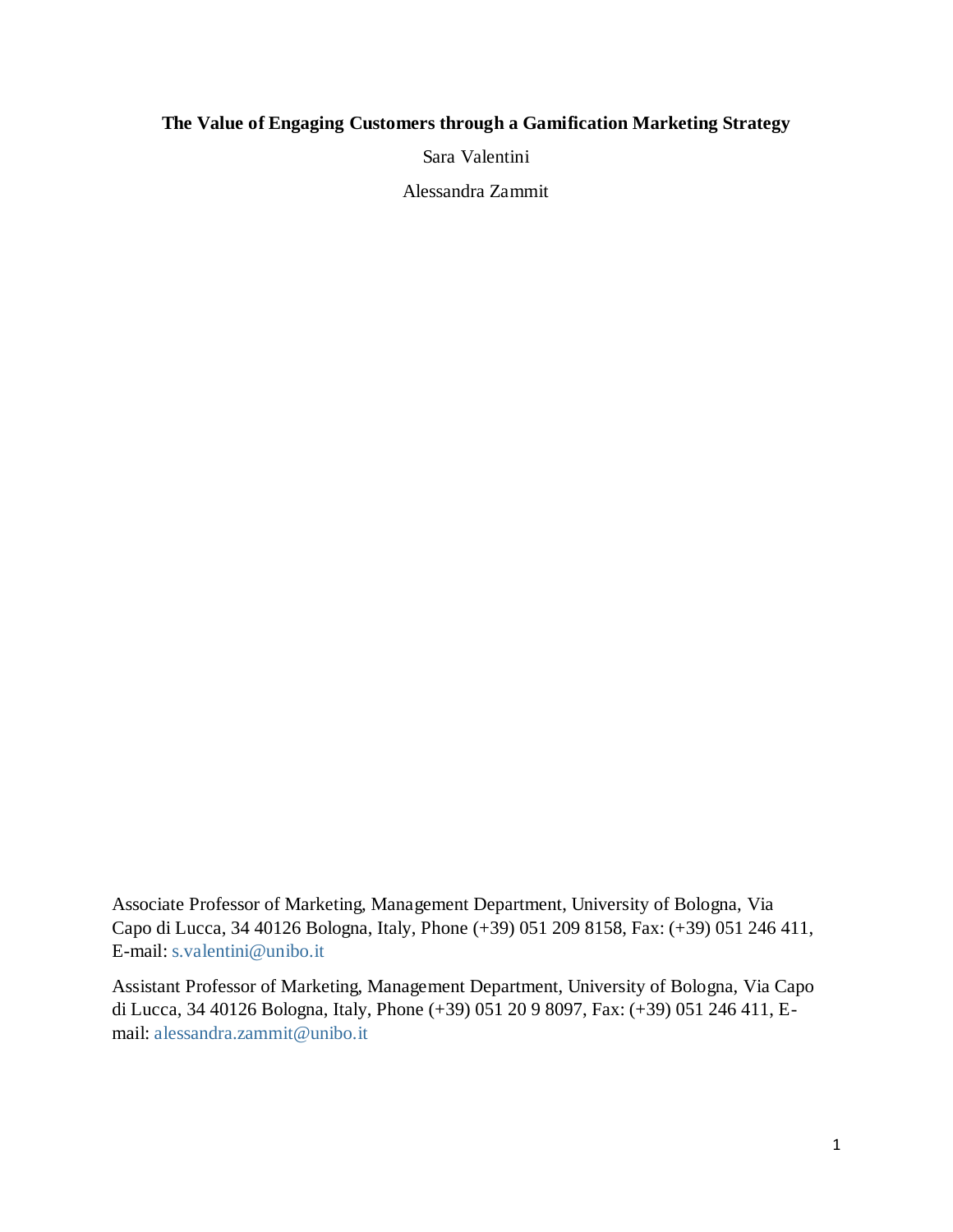# **The Value of Engaging Customers through a Gamification Marketing Strategy**

Sara Valentini

Alessandra Zammit

Associate Professor of Marketing, Management Department, University of Bologna, Via Capo di Lucca, 34 40126 Bologna, Italy, Phone (+39) 051 209 8158, Fax: (+39) 051 246 411, E-mail: [s.valentini@unibo.it](mailto:s.valentini@unibo.it)

Assistant Professor of Marketing, Management Department, University of Bologna, Via Capo di Lucca, 34 40126 Bologna, Italy, Phone (+39) 051 20 9 8097, Fax: (+39) 051 246 411, Email: [alessandra.zammit@unibo.it](mailto:alessandra.zammit@unibo.it)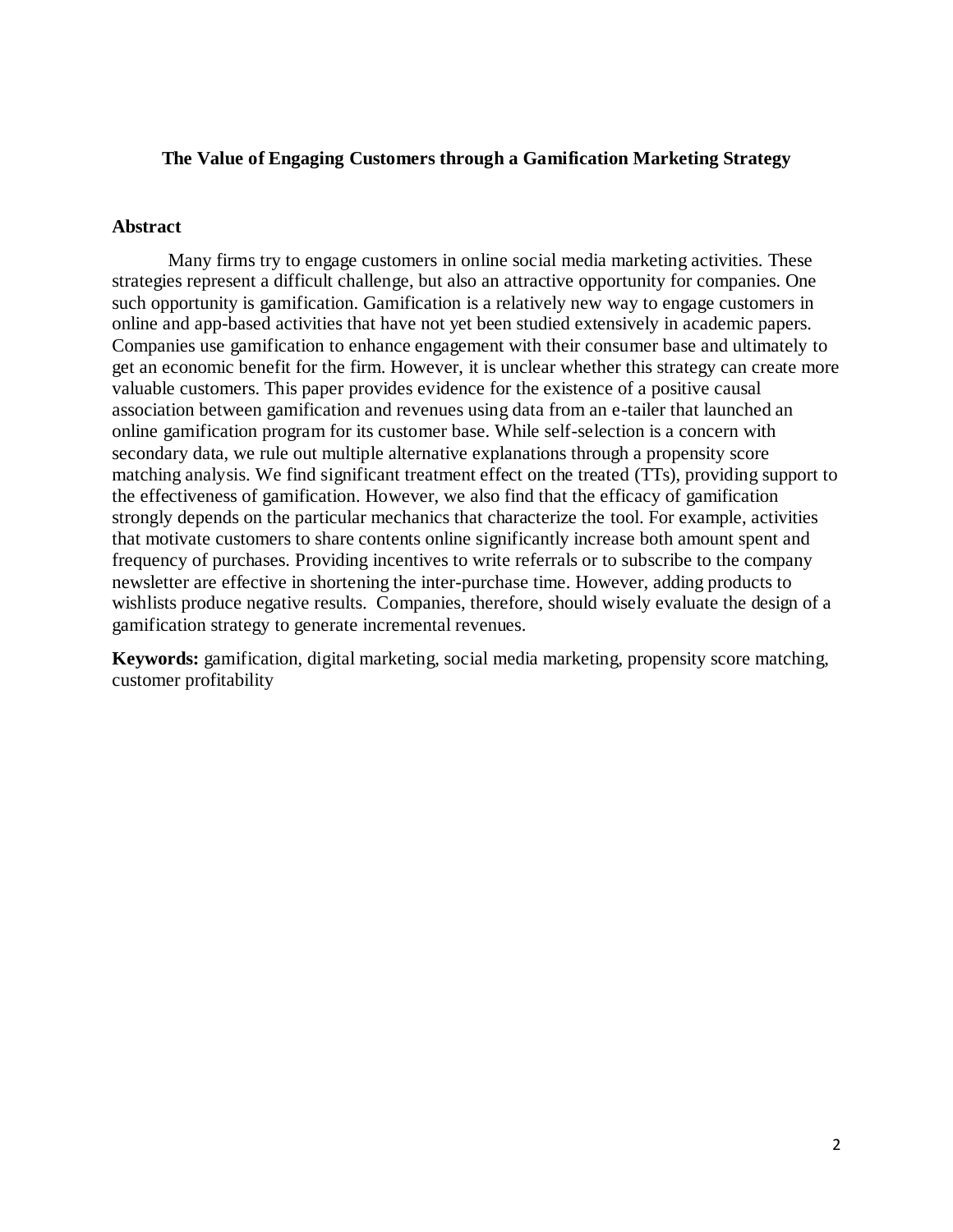# **The Value of Engaging Customers through a Gamification Marketing Strategy**

#### **Abstract**

Many firms try to engage customers in online social media marketing activities. These strategies represent a difficult challenge, but also an attractive opportunity for companies. One such opportunity is gamification. Gamification is a relatively new way to engage customers in online and app-based activities that have not yet been studied extensively in academic papers. Companies use gamification to enhance engagement with their consumer base and ultimately to get an economic benefit for the firm. However, it is unclear whether this strategy can create more valuable customers. This paper provides evidence for the existence of a positive causal association between gamification and revenues using data from an e-tailer that launched an online gamification program for its customer base. While self-selection is a concern with secondary data, we rule out multiple alternative explanations through a propensity score matching analysis. We find significant treatment effect on the treated (TTs), providing support to the effectiveness of gamification. However, we also find that the efficacy of gamification strongly depends on the particular mechanics that characterize the tool. For example, activities that motivate customers to share contents online significantly increase both amount spent and frequency of purchases. Providing incentives to write referrals or to subscribe to the company newsletter are effective in shortening the inter-purchase time. However, adding products to wishlists produce negative results. Companies, therefore, should wisely evaluate the design of a gamification strategy to generate incremental revenues.

**Keywords:** gamification, digital marketing, social media marketing, propensity score matching, customer profitability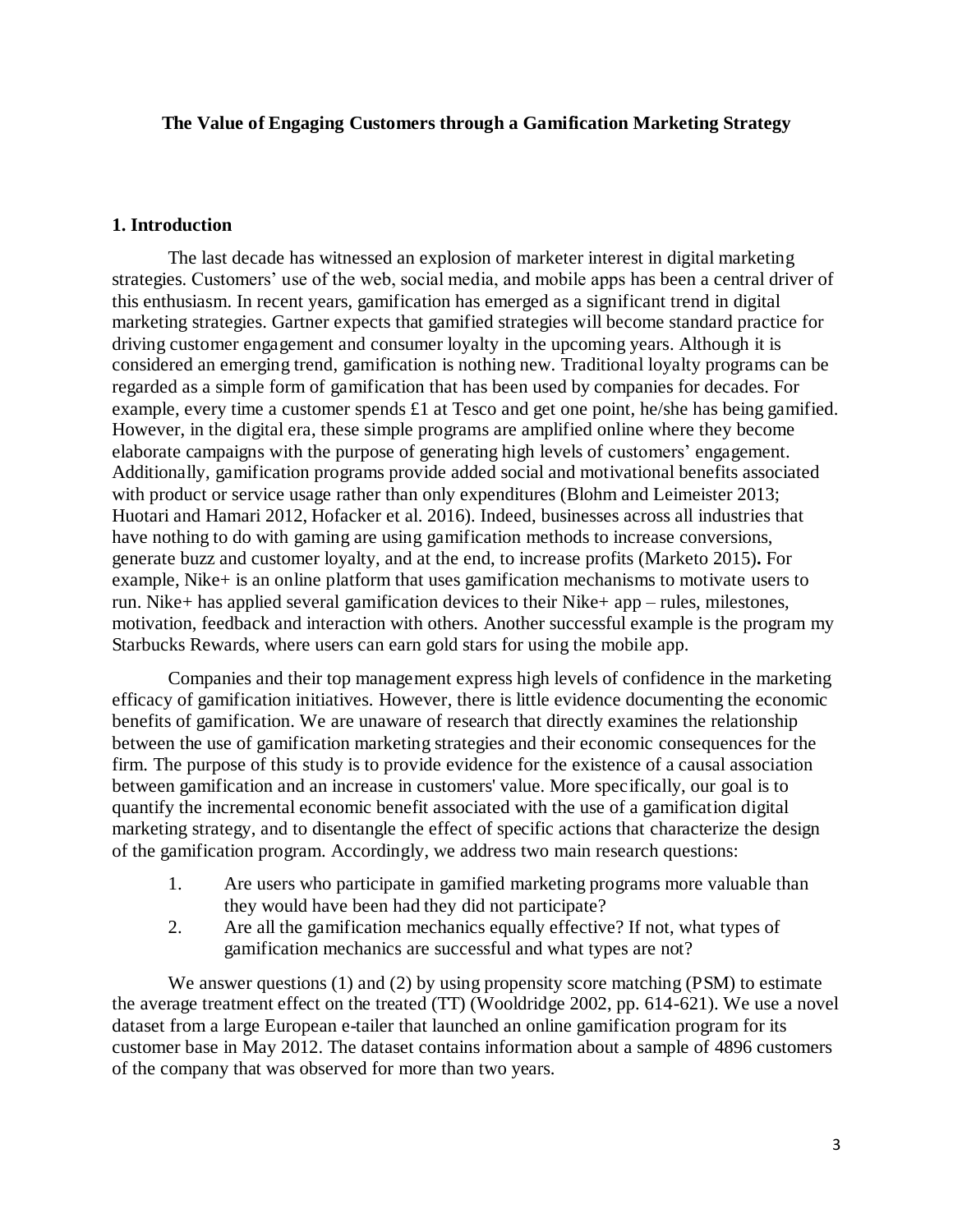### **The Value of Engaging Customers through a Gamification Marketing Strategy**

#### **1. Introduction**

The last decade has witnessed an explosion of marketer interest in digital marketing strategies. Customers' use of the web, social media, and mobile apps has been a central driver of this enthusiasm. In recent years, gamification has emerged as a significant trend in digital marketing strategies. Gartner expects that gamified strategies will become standard practice for driving customer engagement and consumer loyalty in the upcoming years. Although it is considered an emerging trend, gamification is nothing new. Traditional loyalty programs can be regarded as a simple form of gamification that has been used by companies for decades. For example, every time a customer spends £1 at Tesco and get one point, he/she has being gamified. However, in the digital era, these simple programs are amplified online where they become elaborate campaigns with the purpose of generating high levels of customers' engagement. Additionally, gamification programs provide added social and motivational benefits associated with product or service usage rather than only expenditures (Blohm and Leimeister 2013; Huotari and Hamari 2012, Hofacker et al. 2016). Indeed, businesses across all industries that have nothing to do with gaming are using gamification methods to increase conversions, generate buzz and customer loyalty, and at the end, to increase profits (Marketo 2015)**.** For example, Nike+ is an online platform that uses gamification mechanisms to motivate users to run. Nike+ has applied several gamification devices to their Nike+ app – rules, milestones, motivation, feedback and interaction with others. Another successful example is the program my Starbucks Rewards, where users can earn gold stars for using the mobile app.

Companies and their top management express high levels of confidence in the marketing efficacy of gamification initiatives. However, there is little evidence documenting the economic benefits of gamification. We are unaware of research that directly examines the relationship between the use of gamification marketing strategies and their economic consequences for the firm. The purpose of this study is to provide evidence for the existence of a causal association between gamification and an increase in customers' value. More specifically, our goal is to quantify the incremental economic benefit associated with the use of a gamification digital marketing strategy, and to disentangle the effect of specific actions that characterize the design of the gamification program. Accordingly, we address two main research questions:

- 1. Are users who participate in gamified marketing programs more valuable than they would have been had they did not participate?
- 2. Are all the gamification mechanics equally effective? If not, what types of gamification mechanics are successful and what types are not?

We answer questions (1) and (2) by using propensity score matching (PSM) to estimate the average treatment effect on the treated (TT) (Wooldridge 2002, pp. 614-621). We use a novel dataset from a large European e-tailer that launched an online gamification program for its customer base in May 2012. The dataset contains information about a sample of 4896 customers of the company that was observed for more than two years.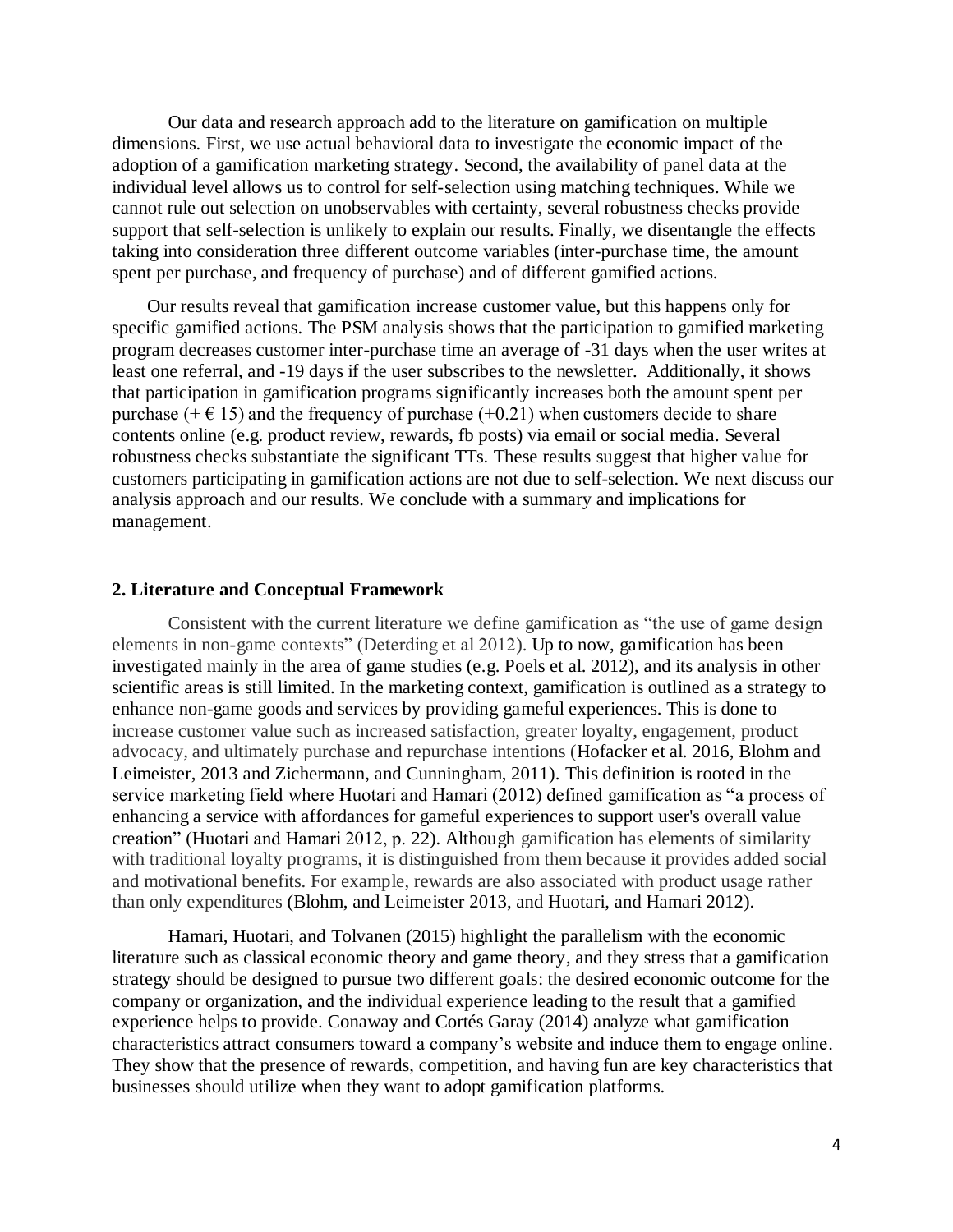Our data and research approach add to the literature on gamification on multiple dimensions. First, we use actual behavioral data to investigate the economic impact of the adoption of a gamification marketing strategy. Second, the availability of panel data at the individual level allows us to control for self-selection using matching techniques. While we cannot rule out selection on unobservables with certainty, several robustness checks provide support that self-selection is unlikely to explain our results. Finally, we disentangle the effects taking into consideration three different outcome variables (inter-purchase time, the amount spent per purchase, and frequency of purchase) and of different gamified actions.

Our results reveal that gamification increase customer value, but this happens only for specific gamified actions. The PSM analysis shows that the participation to gamified marketing program decreases customer inter-purchase time an average of -31 days when the user writes at least one referral, and -19 days if the user subscribes to the newsletter. Additionally, it shows that participation in gamification programs significantly increases both the amount spent per purchase ( $+ \in 15$ ) and the frequency of purchase ( $+0.21$ ) when customers decide to share contents online (e.g. product review, rewards, fb posts) via email or social media. Several robustness checks substantiate the significant TTs. These results suggest that higher value for customers participating in gamification actions are not due to self-selection. We next discuss our analysis approach and our results. We conclude with a summary and implications for management.

#### **2. Literature and Conceptual Framework**

Consistent with the current literature we define gamification as "the use of game design elements in non-game contexts" (Deterding et al 2012). Up to now, gamification has been investigated mainly in the area of game studies (e.g. Poels et al. 2012), and its analysis in other scientific areas is still limited. In the marketing context, gamification is outlined as a strategy to enhance non-game goods and services by providing gameful experiences. This is done to increase customer value such as increased satisfaction, greater loyalty, engagement, product advocacy, and ultimately purchase and repurchase intentions (Hofacker et al. 2016, [Blohm and](http://www.sciencedirect.com/science/article/pii/S1094996816300019#bb0035)  [Leimeister, 2013](http://www.sciencedirect.com/science/article/pii/S1094996816300019#bb0035) and [Zichermann, and Cunningham, 2011\)](http://www.sciencedirect.com/science/article/pii/S1094996816300019#bb0440). This definition is rooted in the service marketing field where Huotari and Hamari (2012) defined gamification as "a process of enhancing a service with affordances for gameful experiences to support user's overall value creation" (Huotari and Hamari 2012, p. 22). Although gamification has elements of similarity with traditional loyalty programs, it is distinguished from them because it provides added social and motivational benefits. For example, rewards are also associated with product usage rather than only expenditures [\(Blohm, and Leimeister](http://www.sciencedirect.com/science/article/pii/S1094996816300019#bb0035) 2013, and [Huotari, and Hamari 2012\)](http://www.sciencedirect.com/science/article/pii/S1094996816300019#bb0155).

Hamari, Huotari, and Tolvanen (2015) highlight the parallelism with the economic literature such as classical economic theory and game theory, and they stress that a gamification strategy should be designed to pursue two different goals: the desired economic outcome for the company or organization, and the individual experience leading to the result that a gamified experience helps to provide. Conaway and Cortés Garay (2014) analyze what gamification characteristics attract consumers toward a company's website and induce them to engage online. They show that the presence of rewards, competition, and having fun are key characteristics that businesses should utilize when they want to adopt gamification platforms.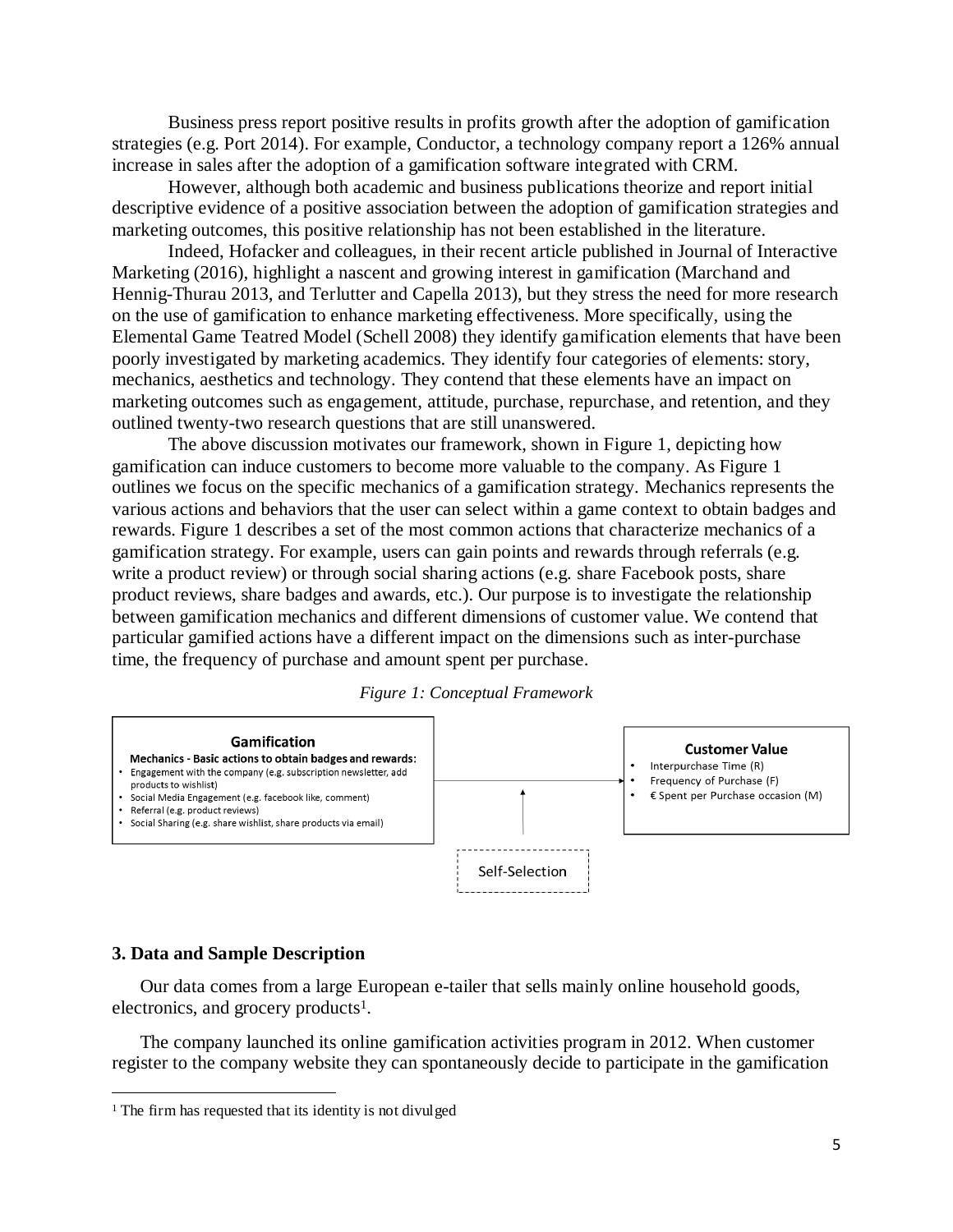Business press report positive results in profits growth after the adoption of gamification strategies (e.g. Port 2014). For example, Conductor, a technology company report a 126% annual increase in sales after the adoption of a gamification software integrated with CRM.

However, although both academic and business publications theorize and report initial descriptive evidence of a positive association between the adoption of gamification strategies and marketing outcomes, this positive relationship has not been established in the literature.

Indeed, Hofacker and colleagues, in their recent article published in Journal of Interactive Marketing (2016), highlight a nascent and growing interest in gamification (Marchand and Hennig-Thurau 2013, and Terlutter and Capella 2013), but they stress the need for more research on the use of gamification to enhance marketing effectiveness. More specifically, using the Elemental Game Teatred Model (Schell 2008) they identify gamification elements that have been poorly investigated by marketing academics. They identify four categories of elements: story, mechanics, aesthetics and technology. They contend that these elements have an impact on marketing outcomes such as engagement, attitude, purchase, repurchase, and retention, and they outlined twenty-two research questions that are still unanswered.

The above discussion motivates our framework, shown in Figure 1, depicting how gamification can induce customers to become more valuable to the company. As Figure 1 outlines we focus on the specific mechanics of a gamification strategy. Mechanics represents the various actions and behaviors that the user can select within a game context to obtain badges and rewards. Figure 1 describes a set of the most common actions that characterize mechanics of a gamification strategy. For example, users can gain points and rewards through referrals (e.g. write a product review) or through social sharing actions (e.g. share Facebook posts, share product reviews, share badges and awards, etc.). Our purpose is to investigate the relationship between gamification mechanics and different dimensions of customer value. We contend that particular gamified actions have a different impact on the dimensions such as inter-purchase time, the frequency of purchase and amount spent per purchase.





#### **3. Data and Sample Description**

 $\overline{a}$ 

Our data comes from a large European e-tailer that sells mainly online household goods, electronics, and grocery products<sup>1</sup>.

The company launched its online gamification activities program in 2012. When customer register to the company website they can spontaneously decide to participate in the gamification

<sup>&</sup>lt;sup>1</sup> The firm has requested that its identity is not divulged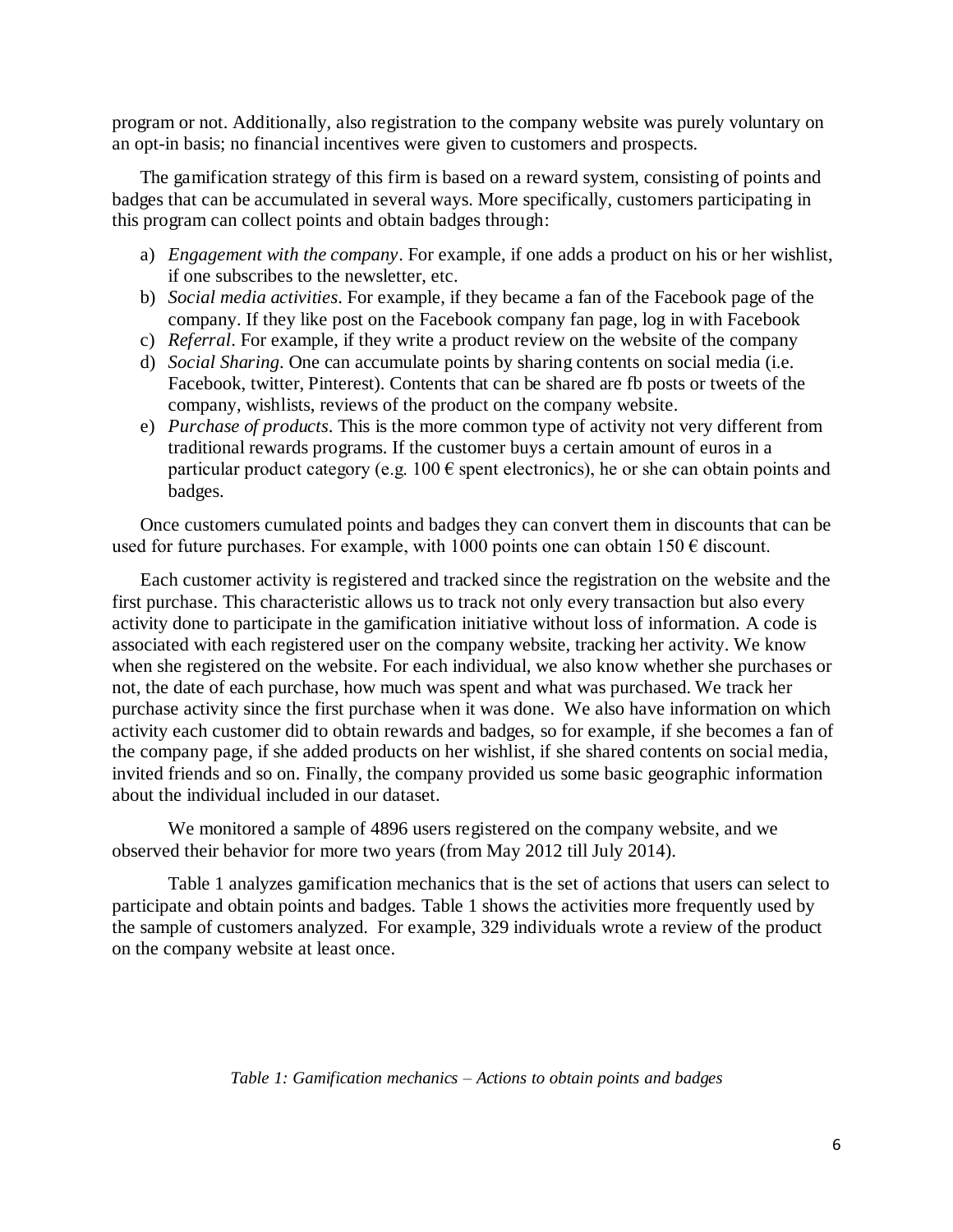program or not. Additionally, also registration to the company website was purely voluntary on an opt-in basis; no financial incentives were given to customers and prospects.

The gamification strategy of this firm is based on a reward system, consisting of points and badges that can be accumulated in several ways. More specifically, customers participating in this program can collect points and obtain badges through:

- a) *Engagement with the company*. For example, if one adds a product on his or her wishlist, if one subscribes to the newsletter, etc.
- b) *Social media activities*. For example, if they became a fan of the Facebook page of the company. If they like post on the Facebook company fan page, log in with Facebook
- c) *Referral*. For example, if they write a product review on the website of the company
- d) *Social Sharing*. One can accumulate points by sharing contents on social media (i.e. Facebook, twitter, Pinterest). Contents that can be shared are fb posts or tweets of the company, wishlists, reviews of the product on the company website.
- e) *Purchase of products*. This is the more common type of activity not very different from traditional rewards programs. If the customer buys a certain amount of euros in a particular product category (e.g. 100  $\epsilon$  spent electronics), he or she can obtain points and badges.

Once customers cumulated points and badges they can convert them in discounts that can be used for future purchases. For example, with 1000 points one can obtain 150  $\epsilon$  discount.

Each customer activity is registered and tracked since the registration on the website and the first purchase. This characteristic allows us to track not only every transaction but also every activity done to participate in the gamification initiative without loss of information. A code is associated with each registered user on the company website, tracking her activity. We know when she registered on the website. For each individual, we also know whether she purchases or not, the date of each purchase, how much was spent and what was purchased. We track her purchase activity since the first purchase when it was done. We also have information on which activity each customer did to obtain rewards and badges, so for example, if she becomes a fan of the company page, if she added products on her wishlist, if she shared contents on social media, invited friends and so on. Finally, the company provided us some basic geographic information about the individual included in our dataset.

We monitored a sample of 4896 users registered on the company website, and we observed their behavior for more two years (from May 2012 till July 2014).

Table 1 analyzes gamification mechanics that is the set of actions that users can select to participate and obtain points and badges. Table 1 shows the activities more frequently used by the sample of customers analyzed. For example, 329 individuals wrote a review of the product on the company website at least once.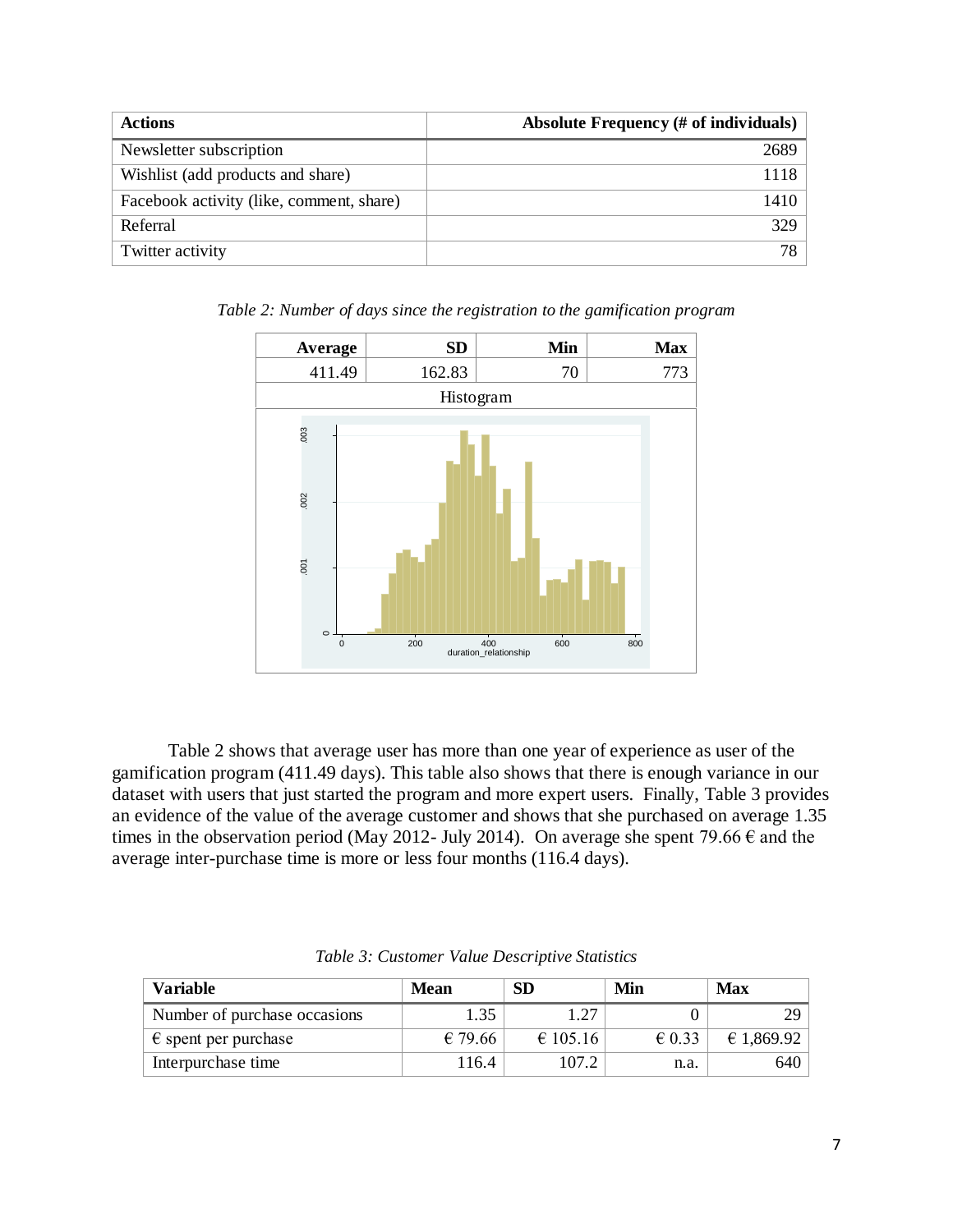| <b>Actions</b>                           | <b>Absolute Frequency (# of individuals)</b> |
|------------------------------------------|----------------------------------------------|
| Newsletter subscription                  | 2689                                         |
| Wishlist (add products and share)        | 1118.                                        |
| Facebook activity (like, comment, share) | 1410                                         |
| Referral                                 | 329                                          |
| Twitter activity                         | 78.                                          |

Average **SD Min Max** 411.49 162.83 70 773 Histogram  $.003$ .001 .002 .003 .002  $001$  $\circ$  $\overline{0}$ 0 200 400 600 800 duration\_relationship

*Table 2: Number of days since the registration to the gamification program*

Table 2 shows that average user has more than one year of experience as user of the gamification program (411.49 days). This table also shows that there is enough variance in our dataset with users that just started the program and more expert users. Finally, Table 3 provides an evidence of the value of the average customer and shows that she purchased on average 1.35 times in the observation period (May 2012- July 2014). On average she spent 79.66  $\epsilon$  and the average inter-purchase time is more or less four months (116.4 days).

| Variable                      | Mean    | <b>SD</b> | Min             | <b>Max</b> |
|-------------------------------|---------|-----------|-----------------|------------|
| Number of purchase occasions  | 1.35    | 1.27      |                 | າດ         |
| $\epsilon$ spent per purchase | € 79.66 | € 105.16  | $\epsilon$ 0.33 | £ 1.869.92 |
| Interpurchase time            | 116.4   | 107.2     | n.a.            | 640        |

*Table 3: Customer Value Descriptive Statistics*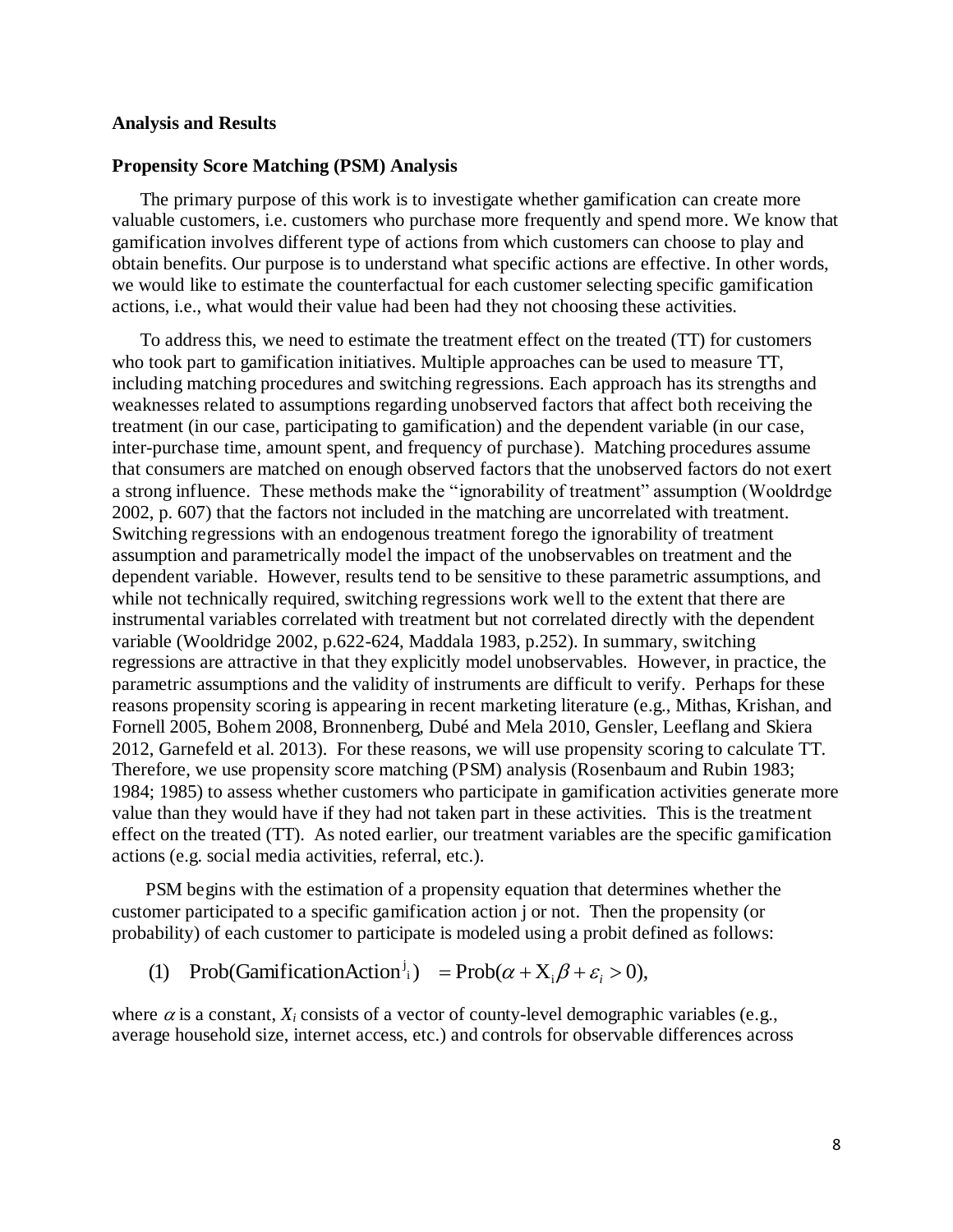#### **Analysis and Results**

#### **Propensity Score Matching (PSM) Analysis**

The primary purpose of this work is to investigate whether gamification can create more valuable customers, i.e. customers who purchase more frequently and spend more. We know that gamification involves different type of actions from which customers can choose to play and obtain benefits. Our purpose is to understand what specific actions are effective. In other words, we would like to estimate the counterfactual for each customer selecting specific gamification actions, i.e., what would their value had been had they not choosing these activities.

To address this, we need to estimate the treatment effect on the treated (TT) for customers who took part to gamification initiatives. Multiple approaches can be used to measure TT, including matching procedures and switching regressions. Each approach has its strengths and weaknesses related to assumptions regarding unobserved factors that affect both receiving the treatment (in our case, participating to gamification) and the dependent variable (in our case, inter-purchase time, amount spent, and frequency of purchase). Matching procedures assume that consumers are matched on enough observed factors that the unobserved factors do not exert a strong influence. These methods make the "ignorability of treatment" assumption (Wooldrdge 2002, p. 607) that the factors not included in the matching are uncorrelated with treatment. Switching regressions with an endogenous treatment forego the ignorability of treatment assumption and parametrically model the impact of the unobservables on treatment and the dependent variable. However, results tend to be sensitive to these parametric assumptions, and while not technically required, switching regressions work well to the extent that there are instrumental variables correlated with treatment but not correlated directly with the dependent variable (Wooldridge 2002, p.622-624, Maddala 1983, p.252). In summary, switching regressions are attractive in that they explicitly model unobservables. However, in practice, the parametric assumptions and the validity of instruments are difficult to verify. Perhaps for these reasons propensity scoring is appearing in recent marketing literature (e.g., Mithas, Krishan, and Fornell 2005, Bohem 2008, Bronnenberg, Dubé and Mela 2010, Gensler, Leeflang and Skiera 2012, Garnefeld et al. 2013). For these reasons, we will use propensity scoring to calculate TT. Therefore, we use propensity score matching (PSM) analysis (Rosenbaum and Rubin 1983; 1984; 1985) to assess whether customers who participate in gamification activities generate more value than they would have if they had not taken part in these activities. This is the treatment effect on the treated (TT). As noted earlier, our treatment variables are the specific gamification actions (e.g. social media activities, referral, etc.).

PSM begins with the estimation of a propensity equation that determines whether the customer participated to a specific gamification action j or not. Then the propensity (or probability) of each customer to participate is modeled using a probit defined as follows:

(1) Prob(GamificationAction<sup>j</sup><sub>i</sub>) = Prob( $\alpha + X_i \beta + \varepsilon_i > 0$ ),

where  $\alpha$  is a constant,  $X_i$  consists of a vector of county-level demographic variables (e.g., average household size, internet access, etc.) and controls for observable differences across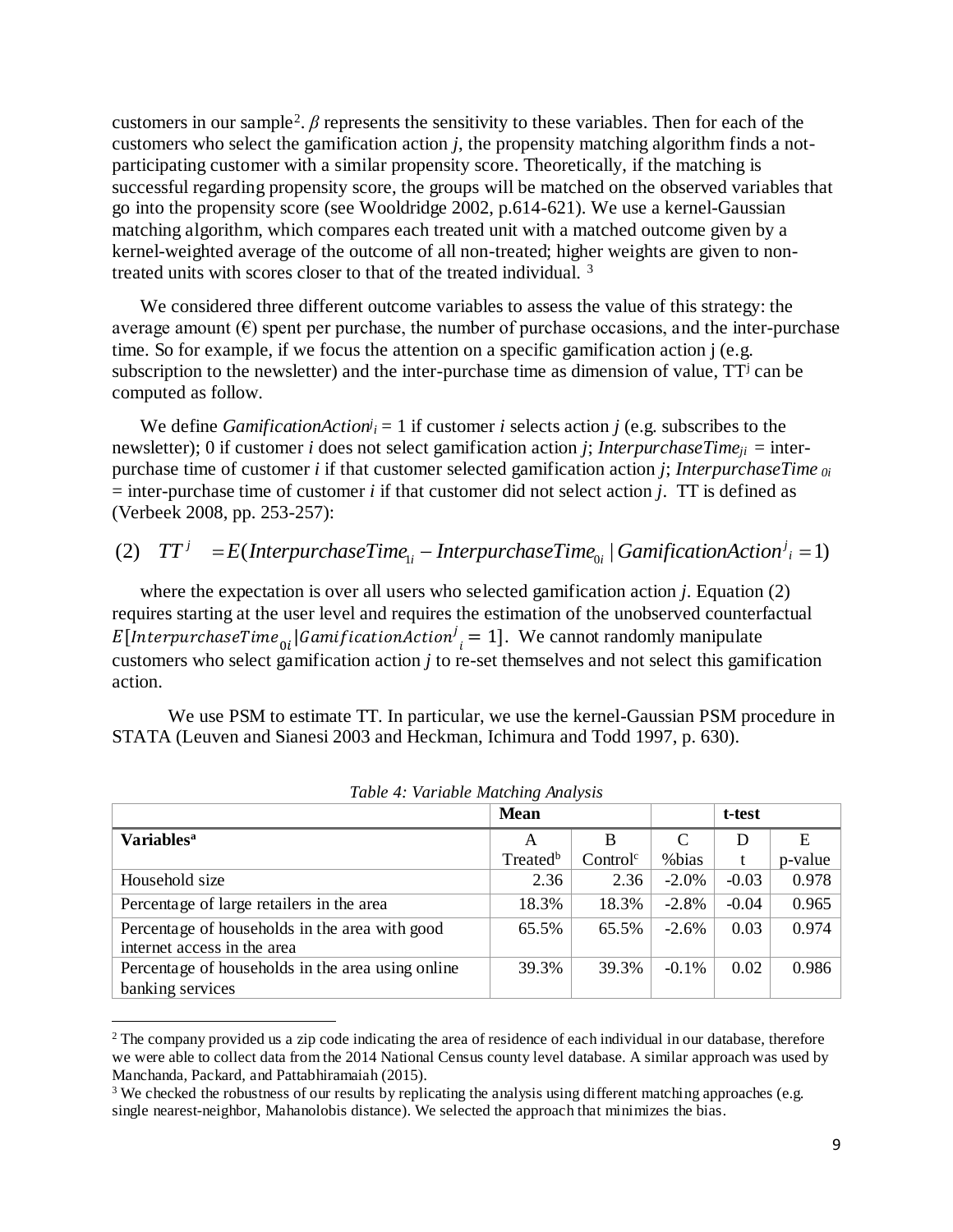customers in our sample<sup>2</sup>.  $\beta$  represents the sensitivity to these variables. Then for each of the customers who select the gamification action *j*, the propensity matching algorithm finds a notparticipating customer with a similar propensity score. Theoretically, if the matching is successful regarding propensity score, the groups will be matched on the observed variables that go into the propensity score (see Wooldridge 2002, p.614-621). We use a kernel-Gaussian matching algorithm, which compares each treated unit with a matched outcome given by a kernel-weighted average of the outcome of all non-treated; higher weights are given to nontreated units with scores closer to that of the treated individual. <sup>3</sup>

We considered three different outcome variables to assess the value of this strategy: the average amount  $(\epsilon)$  spent per purchase, the number of purchase occasions, and the inter-purchase time. So for example, if we focus the attention on a specific gamification action j (e.g. subscription to the newsletter) and the inter-purchase time as dimension of value,  $TT^j$  can be computed as follow.

We define *GamificationAction*<sup>*j*</sup><sub>*i*</sub> = 1 if customer *i* selects action *j* (e.g. subscribes to the newsletter); 0 if customer *i* does not select gamification action *j*; *InterpurchaseTime*<sub>*ii*</sub> = interpurchase time of customer *i* if that customer selected gamification action *j*; *InterpurchaseTime 0i* = inter-purchase time of customer *i* if that customer did not select action *j*. TT is defined as (Verbeek 2008, pp. 253-257):

#### (2)  $TT^j = E(Interpure has eTime_{1i} - Interpure has eTime_{0i} | GamificationAction^j = 1)$ *i i*  $TT^{j} = E(Interpure baseTime_{i} - Interpure baseTime_{0i} | GamiificationAction$

where the expectation is over all users who selected gamification action *j*. Equation (2) requires starting at the user level and requires the estimation of the unobserved counterfactual E [InterpurchaseTime<sub>0i</sub> | Gamification Action<sup>j</sup><sub>i</sub> = 1]. We cannot randomly manipulate customers who select gamification action *j* to re-set themselves and not select this gamification action.

We use PSM to estimate TT. In particular, we use the kernel-Gaussian PSM procedure in STATA (Leuven and Sianesi 2003 and Heckman, Ichimura and Todd 1997, p. 630).

|                                                                               | <b>Mean</b>          |                      | t-test   |         |         |
|-------------------------------------------------------------------------------|----------------------|----------------------|----------|---------|---------|
| <b>Variables</b> <sup>a</sup>                                                 | A                    | B                    | C        | D       | E       |
|                                                                               | Treated <sup>b</sup> | Control <sup>c</sup> | %bias    |         | p-value |
| Household size                                                                | 2.36                 | 2.36                 | $-2.0\%$ | $-0.03$ | 0.978   |
| Percentage of large retailers in the area                                     | 18.3%                | 18.3%                | $-2.8%$  | $-0.04$ | 0.965   |
| Percentage of households in the area with good<br>internet access in the area | 65.5%                | 65.5%                | $-2.6%$  | 0.03    | 0.974   |
| Percentage of households in the area using online                             | 39.3%                | 39.3%                | $-0.1\%$ | 0.02    | 0.986   |
| banking services                                                              |                      |                      |          |         |         |

*Table 4: Variable Matching Analysis*

 $\overline{a}$ 

<sup>2</sup> The company provided us a zip code indicating the area of residence of each individual in our database, therefore we were able to collect data from the 2014 National Census county level database. A similar approach was used by Manchanda, Packard, and Pattabhiramaiah (2015).

<sup>&</sup>lt;sup>3</sup> We checked the robustness of our results by replicating the analysis using different matching approaches (e.g. single nearest-neighbor, Mahanolobis distance). We selected the approach that minimizes the bias.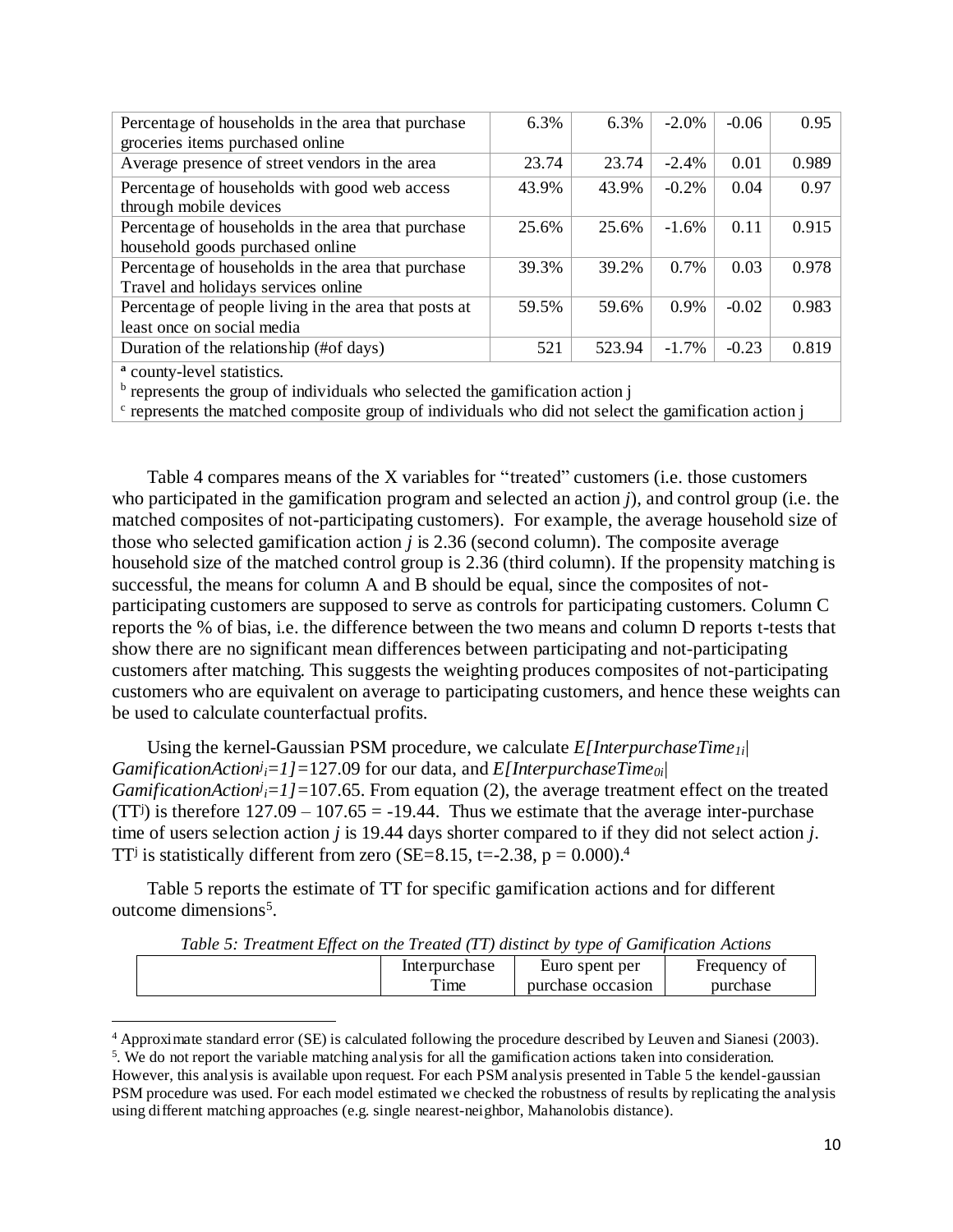| Percentage of households in the area that purchase    | 6.3%  | 6.3%   | $-2.0\%$ | $-0.06$ | 0.95  |
|-------------------------------------------------------|-------|--------|----------|---------|-------|
| groceries items purchased online                      |       |        |          |         |       |
| Average presence of street vendors in the area        | 23.74 | 23.74  | $-2.4%$  | 0.01    | 0.989 |
| Percentage of households with good web access         | 43.9% | 43.9%  | $-0.2%$  | 0.04    | 0.97  |
| through mobile devices                                |       |        |          |         |       |
| Percentage of households in the area that purchase    | 25.6% | 25.6%  | $-1.6\%$ | 0.11    | 0.915 |
| household goods purchased online                      |       |        |          |         |       |
| Percentage of households in the area that purchase    | 39.3% | 39.2%  | $0.7\%$  | 0.03    | 0.978 |
| Travel and holidays services online                   |       |        |          |         |       |
| Percentage of people living in the area that posts at | 59.5% | 59.6%  | 0.9%     | $-0.02$ | 0.983 |
| least once on social media                            |       |        |          |         |       |
| Duration of the relationship (#of days)               | 521   | 523.94 | $-1.7%$  | $-0.23$ | 0.819 |
|                                                       |       |        |          |         |       |

**<sup>a</sup>** county-level statistics.

 $\overline{a}$ 

<sup>b</sup> represents the group of individuals who selected the gamification action j

<sup>c</sup> represents the matched composite group of individuals who did not select the gamification action j

Table 4 compares means of the X variables for "treated" customers (i.e. those customers who participated in the gamification program and selected an action *j*), and control group (i.e. the matched composites of not-participating customers). For example, the average household size of those who selected gamification action *j* is 2.36 (second column). The composite average household size of the matched control group is 2.36 (third column). If the propensity matching is successful, the means for column A and B should be equal, since the composites of notparticipating customers are supposed to serve as controls for participating customers. Column C reports the % of bias, i.e. the difference between the two means and column D reports t-tests that show there are no significant mean differences between participating and not-participating customers after matching. This suggests the weighting produces composites of not-participating customers who are equivalent on average to participating customers, and hence these weights can be used to calculate counterfactual profits.

Using the kernel-Gaussian PSM procedure, we calculate *E[InterpurchaseTime1i| GamificationAction<sup>j</sup> <sup>i</sup>=1]=*127.09 for our data, and *E[InterpurchaseTime0i| GamificationAction<sup>j</sup>*<sub>*i*</sub>=1]=107.65. From equation (2), the average treatment effect on the treated (TT<sup>j</sup>) is therefore  $127.09 - 107.65 = -19.44$ . Thus we estimate that the average inter-purchase time of users selection action *j* is 19.44 days shorter compared to if they did not select action *j*. TT<sup>j</sup> is statistically different from zero (SE=8.15, t=-2.38, p =  $0.000$ ).<sup>4</sup>

Table 5 reports the estimate of TT for specific gamification actions and for different outcome dimensions 5 .

*Table 5: Treatment Effect on the Treated (TT) distinct by type of Gamification Actions*

| ູ |               |                   |              |
|---|---------------|-------------------|--------------|
|   | Interpurchase | Euro spent per    | Frequency of |
|   | 1me           | purchase occasion | purchase     |

<sup>4</sup> Approximate standard error (SE) is calculated following the procedure described by Leuven and Sianesi (2003).

<sup>5</sup> . We do not report the variable matching analysis for all the gamification actions taken into consideration.

However, this analysis is available upon request. For each PSM analysis presented in Table 5 the kendel-gaussian PSM procedure was used. For each model estimated we checked the robustness of results by replicating the analysis using different matching approaches (e.g. single nearest-neighbor, Mahanolobis distance).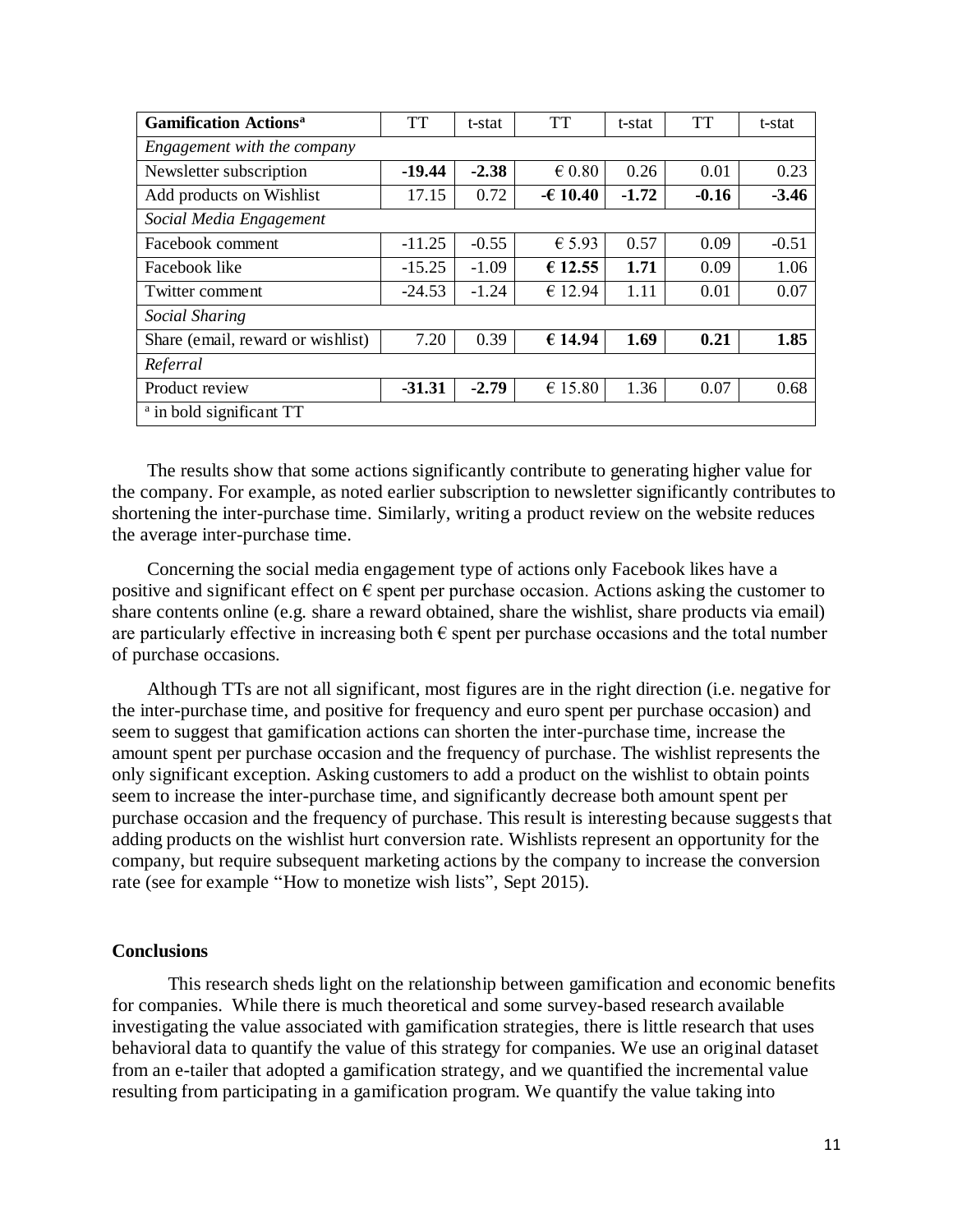| <b>Gamification Actions<sup>a</sup></b> | <b>TT</b> | t-stat  | <b>TT</b>       | t-stat  | <b>TT</b> | t-stat  |  |  |
|-----------------------------------------|-----------|---------|-----------------|---------|-----------|---------|--|--|
| Engagement with the company             |           |         |                 |         |           |         |  |  |
| Newsletter subscription                 | $-19.44$  | $-2.38$ | $\epsilon$ 0.80 | 0.26    | 0.01      | 0.23    |  |  |
| Add products on Wishlist                | 17.15     | 0.72    | $-610.40$       | $-1.72$ | $-0.16$   | $-3.46$ |  |  |
| Social Media Engagement                 |           |         |                 |         |           |         |  |  |
| Facebook comment                        | $-11.25$  | $-0.55$ | $\epsilon$ 5.93 | 0.57    | 0.09      | $-0.51$ |  |  |
| Facebook like                           | $-15.25$  | $-1.09$ | € 12.55         | 1.71    | 0.09      | 1.06    |  |  |
| Twitter comment                         | $-24.53$  | $-1.24$ | € 12.94         | 1.11    | 0.01      | 0.07    |  |  |
| Social Sharing                          |           |         |                 |         |           |         |  |  |
| Share (email, reward or wishlist)       | 7.20      | 0.39    | € 14.94         | 1.69    | 0.21      | 1.85    |  |  |
| Referral                                |           |         |                 |         |           |         |  |  |
| Product review                          | $-31.31$  | $-2.79$ | € 15.80         | 1.36    | 0.07      | 0.68    |  |  |
| <sup>a</sup> in bold significant TT     |           |         |                 |         |           |         |  |  |

The results show that some actions significantly contribute to generating higher value for the company. For example, as noted earlier subscription to newsletter significantly contributes to shortening the inter-purchase time. Similarly, writing a product review on the website reduces the average inter-purchase time.

Concerning the social media engagement type of actions only Facebook likes have a positive and significant effect on  $\epsilon$  spent per purchase occasion. Actions asking the customer to share contents online (e.g. share a reward obtained, share the wishlist, share products via email) are particularly effective in increasing both  $\epsilon$  spent per purchase occasions and the total number of purchase occasions.

Although TTs are not all significant, most figures are in the right direction (i.e. negative for the inter-purchase time, and positive for frequency and euro spent per purchase occasion) and seem to suggest that gamification actions can shorten the inter-purchase time, increase the amount spent per purchase occasion and the frequency of purchase. The wishlist represents the only significant exception. Asking customers to add a product on the wishlist to obtain points seem to increase the inter-purchase time, and significantly decrease both amount spent per purchase occasion and the frequency of purchase. This result is interesting because suggests that adding products on the wishlist hurt conversion rate. Wishlists represent an opportunity for the company, but require subsequent marketing actions by the company to increase the conversion rate (see for example "How to monetize wish lists", Sept 2015).

# **Conclusions**

This research sheds light on the relationship between gamification and economic benefits for companies. While there is much theoretical and some survey-based research available investigating the value associated with gamification strategies, there is little research that uses behavioral data to quantify the value of this strategy for companies. We use an original dataset from an e-tailer that adopted a gamification strategy, and we quantified the incremental value resulting from participating in a gamification program. We quantify the value taking into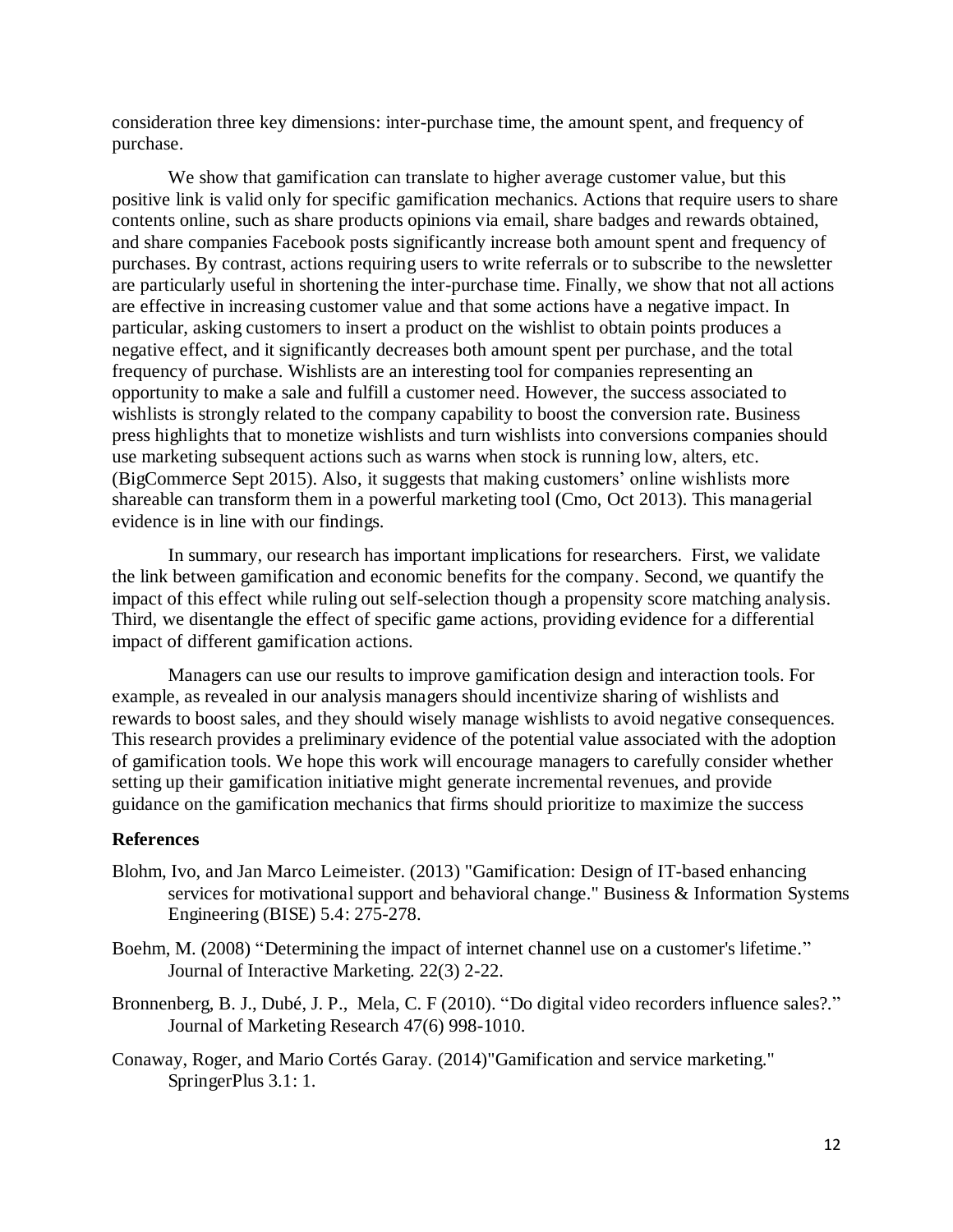consideration three key dimensions: inter-purchase time, the amount spent, and frequency of purchase.

We show that gamification can translate to higher average customer value, but this positive link is valid only for specific gamification mechanics. Actions that require users to share contents online, such as share products opinions via email, share badges and rewards obtained, and share companies Facebook posts significantly increase both amount spent and frequency of purchases. By contrast, actions requiring users to write referrals or to subscribe to the newsletter are particularly useful in shortening the inter-purchase time. Finally, we show that not all actions are effective in increasing customer value and that some actions have a negative impact. In particular, asking customers to insert a product on the wishlist to obtain points produces a negative effect, and it significantly decreases both amount spent per purchase, and the total frequency of purchase. Wishlists are an interesting tool for companies representing an opportunity to make a sale and fulfill a customer need. However, the success associated to wishlists is strongly related to the company capability to boost the conversion rate. Business press highlights that to monetize wishlists and turn wishlists into conversions companies should use marketing subsequent actions such as warns when stock is running low, alters, etc. (BigCommerce Sept 2015). Also, it suggests that making customers' online wishlists more shareable can transform them in a powerful marketing tool (Cmo, Oct 2013). This managerial evidence is in line with our findings.

In summary, our research has important implications for researchers. First, we validate the link between gamification and economic benefits for the company. Second, we quantify the impact of this effect while ruling out self-selection though a propensity score matching analysis. Third, we disentangle the effect of specific game actions, providing evidence for a differential impact of different gamification actions.

Managers can use our results to improve gamification design and interaction tools. For example, as revealed in our analysis managers should incentivize sharing of wishlists and rewards to boost sales, and they should wisely manage wishlists to avoid negative consequences. This research provides a preliminary evidence of the potential value associated with the adoption of gamification tools. We hope this work will encourage managers to carefully consider whether setting up their gamification initiative might generate incremental revenues, and provide guidance on the gamification mechanics that firms should prioritize to maximize the success

# **References**

- Blohm, Ivo, and Jan Marco Leimeister. (2013) "Gamification: Design of IT-based enhancing services for motivational support and behavioral change." Business & Information Systems Engineering (BISE) 5.4: 275-278.
- Boehm, M. (2008) "Determining the impact of internet channel use on a customer's lifetime." Journal of Interactive Marketing. 22(3) 2-22.
- Bronnenberg, B. J., Dubé, J. P., Mela, C. F (2010). "Do digital video recorders influence sales?." Journal of Marketing Research 47(6) 998-1010.
- Conaway, Roger, and Mario Cortés Garay. (2014)"Gamification and service marketing." SpringerPlus 3.1: 1.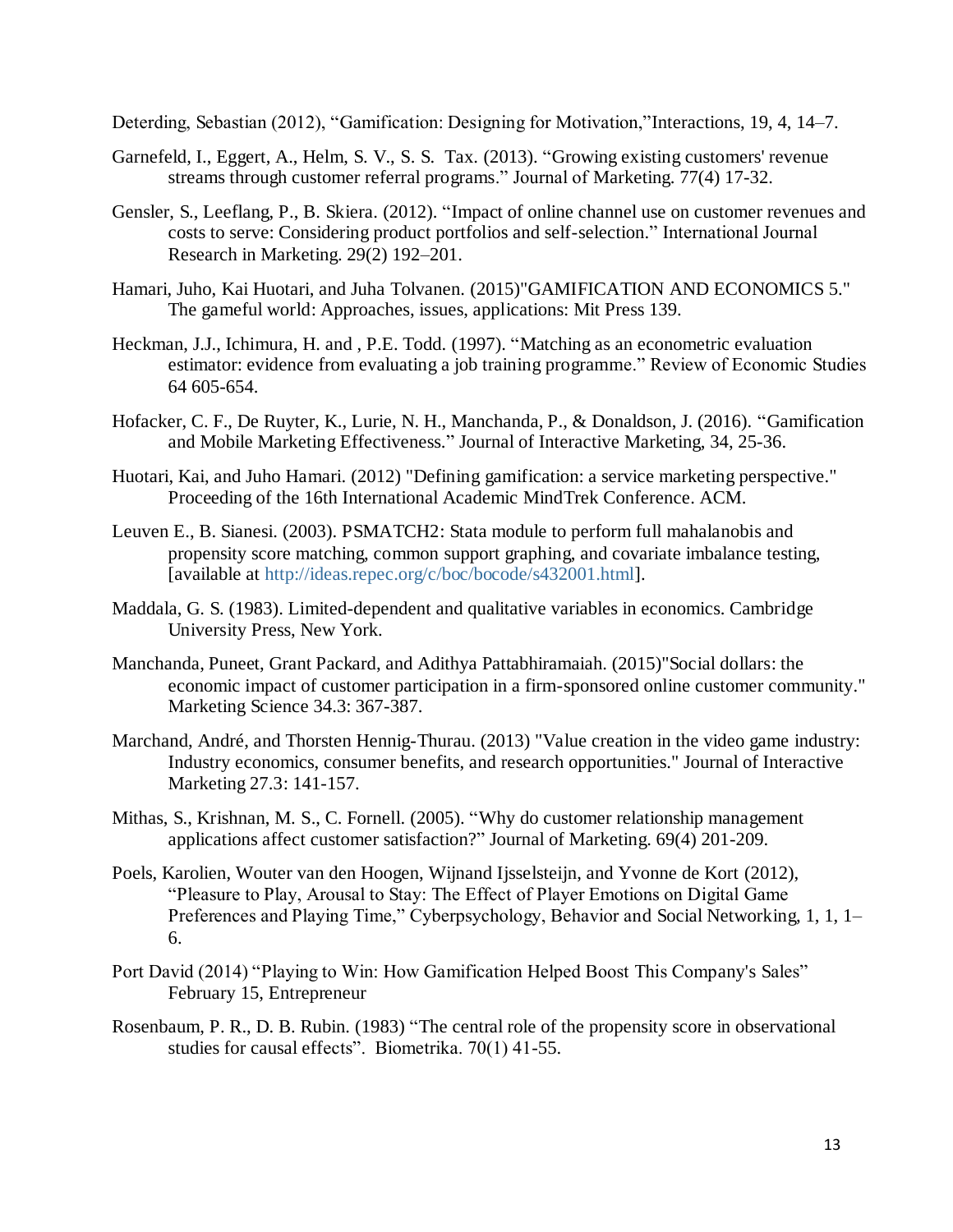Deterding, Sebastian (2012), "Gamification: Designing for Motivation,"Interactions, 19, 4, 14–7.

- Garnefeld, I., Eggert, A., Helm, S. V., S. S. Tax. (2013). "Growing existing customers' revenue streams through customer referral programs." Journal of Marketing. 77(4) 17-32.
- Gensler, S., Leeflang, P., B. Skiera. (2012). "Impact of online channel use on customer revenues and costs to serve: Considering product portfolios and self-selection." International Journal Research in Marketing. 29(2) 192–201.
- Hamari, Juho, Kai Huotari, and Juha Tolvanen. (2015)"GAMIFICATION AND ECONOMICS 5." The gameful world: Approaches, issues, applications: Mit Press 139.
- Heckman, J.J., Ichimura, H. and , P.E. Todd. (1997). "Matching as an econometric evaluation estimator: evidence from evaluating a job training programme." Review of Economic Studies 64 605-654.
- Hofacker, C. F., De Ruyter, K., Lurie, N. H., Manchanda, P., & Donaldson, J. (2016). "Gamification and Mobile Marketing Effectiveness." Journal of Interactive Marketing, 34, 25-36.
- Huotari, Kai, and Juho Hamari. (2012) "Defining gamification: a service marketing perspective." Proceeding of the 16th International Academic MindTrek Conference. ACM.
- Leuven E., B. Sianesi. (2003). PSMATCH2: Stata module to perform full mahalanobis and propensity score matching, common support graphing, and covariate imbalance testing, [available at [http://ideas.repec.org/c/boc/bocode/s432001.html\]](http://ideas.repec.org/c/boc/bocode/s432001.html).
- Maddala, G. S. (1983). Limited-dependent and qualitative variables in economics. Cambridge University Press, New York.
- Manchanda, Puneet, Grant Packard, and Adithya Pattabhiramaiah. (2015)"Social dollars: the economic impact of customer participation in a firm-sponsored online customer community." Marketing Science 34.3: 367-387.
- Marchand, André, and Thorsten Hennig-Thurau. (2013) "Value creation in the video game industry: Industry economics, consumer benefits, and research opportunities." Journal of Interactive Marketing 27.3: 141-157.
- Mithas, S., Krishnan, M. S., C. Fornell. (2005). "Why do customer relationship management applications affect customer satisfaction?" Journal of Marketing. 69(4) 201-209.
- Poels, Karolien, Wouter van den Hoogen, Wijnand Ijsselsteijn, and Yvonne de Kort (2012), "Pleasure to Play, Arousal to Stay: The Effect of Player Emotions on Digital Game Preferences and Playing Time," Cyberpsychology, Behavior and Social Networking, 1, 1, 1– 6.
- Port David (2014) "Playing to Win: How Gamification Helped Boost This Company's Sales" February 15, Entrepreneur
- Rosenbaum, P. R., D. B. Rubin. (1983) "The central role of the propensity score in observational studies for causal effects". Biometrika. 70(1) 41-55.